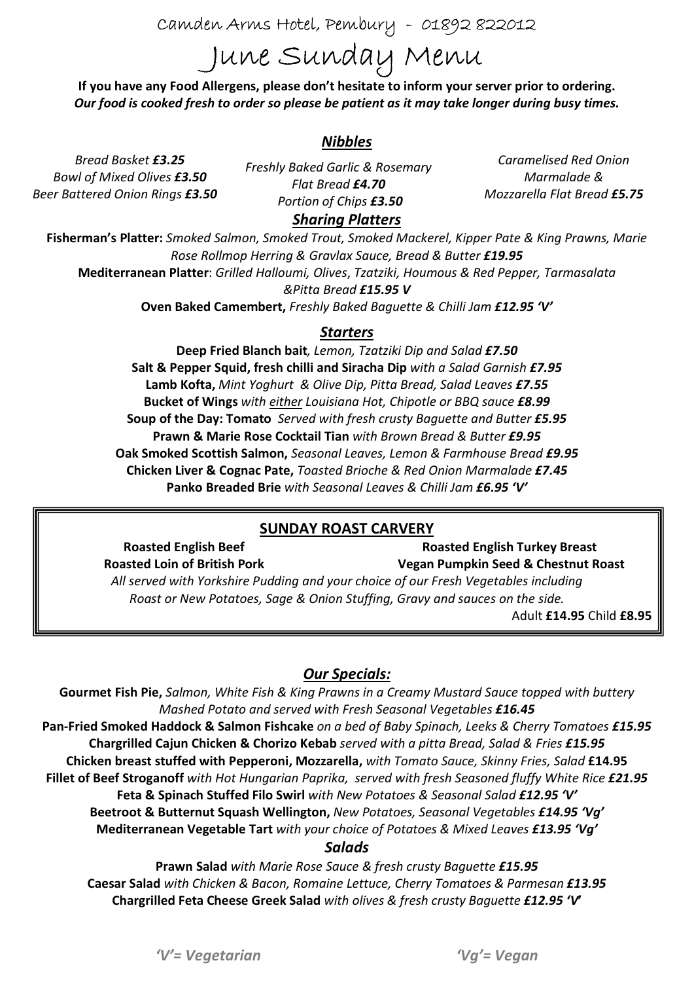Camden Arms Hotel, Pembury - 01892 822012

# June Sunday Menu

If you have any Food Allergens, please don't hesitate to inform your server prior to ordering. Our food is cooked fresh to order so please be patient as it may take longer during busy times.

## Nibbles

Bread Basket £3.25 Bowl of Mixed Olives £3.50 Beer Battered Onion Rings £3.50

Freshly Baked Garlic & Rosemary Flat Bread £4.70 Portion of Chips £3.50

Caramelised Red Onion Marmalade & Mozzarella Flat Bread £5.75

# Sharing Platters

Fisherman's Platter: Smoked Salmon, Smoked Trout, Smoked Mackerel, Kipper Pate & King Prawns, Marie Rose Rollmop Herring & Gravlax Sauce, Bread & Butter £19.95 Mediterranean Platter: Grilled Halloumi, Olives, Tzatziki, Houmous & Red Pepper, Tarmasalata &Pitta Bread £15.95 V

Oven Baked Camembert, Freshly Baked Baguette & Chilli Jam £12.95 'V'

#### Starters

Deep Fried Blanch bait, Lemon, Tzatziki Dip and Salad £7.50 Salt & Pepper Squid, fresh chilli and Siracha Dip with a Salad Garnish £7.95 Lamb Kofta, Mint Yoghurt & Olive Dip, Pitta Bread, Salad Leaves £7.55 Bucket of Wings with either Louisiana Hot, Chipotle or BBQ sauce £8.99 Soup of the Day: Tomato Served with fresh crusty Baquette and Butter £5.95 Prawn & Marie Rose Cocktail Tian with Brown Bread & Butter £9.95 Oak Smoked Scottish Salmon, Seasonal Leaves, Lemon & Farmhouse Bread £9.95 Chicken Liver & Cognac Pate, Toasted Brioche & Red Onion Marmalade £7.45 Panko Breaded Brie with Seasonal Leaves & Chilli Jam £6.95 'V'

## SUNDAY ROAST CARVERY

Roasted English Beef Roasted Loin of British Pork Roasted English Turkey Breast Vegan Pumpkin Seed & Chestnut Roast All served with Yorkshire Pudding and your choice of our Fresh Vegetables including Roast or New Potatoes, Sage & Onion Stuffing, Gravy and sauces on the side.

Adult £14.95 Child £8.95

## Our Specials:

Gourmet Fish Pie, Salmon, White Fish & King Prawns in a Creamy Mustard Sauce topped with buttery Mashed Potato and served with Fresh Seasonal Vegetables £16.45 Pan-Fried Smoked Haddock & Salmon Fishcake on a bed of Baby Spinach, Leeks & Cherry Tomatoes £15.95 Chargrilled Cajun Chicken & Chorizo Kebab served with a pitta Bread, Salad & Fries £15.95 Chicken breast stuffed with Pepperoni, Mozzarella, with Tomato Sauce, Skinny Fries, Salad £14.95 Fillet of Beef Stroganoff with Hot Hungarian Paprika, served with fresh Seasoned fluffy White Rice £21.95 Feta & Spinach Stuffed Filo Swirl with New Potatoes & Seasonal Salad £12.95 'V' Beetroot & Butternut Squash Wellington, New Potatoes, Seasonal Vegetables £14.95 'Vg' Mediterranean Vegetable Tart with your choice of Potatoes & Mixed Leaves £13.95 'Vg'

#### Salads

Prawn Salad with Marie Rose Sauce & fresh crusty Baguette £15.95 Caesar Salad with Chicken & Bacon, Romaine Lettuce, Cherry Tomatoes & Parmesan £13.95 Chargrilled Feta Cheese Greek Salad with olives & fresh crusty Baguette £12.95 'V'